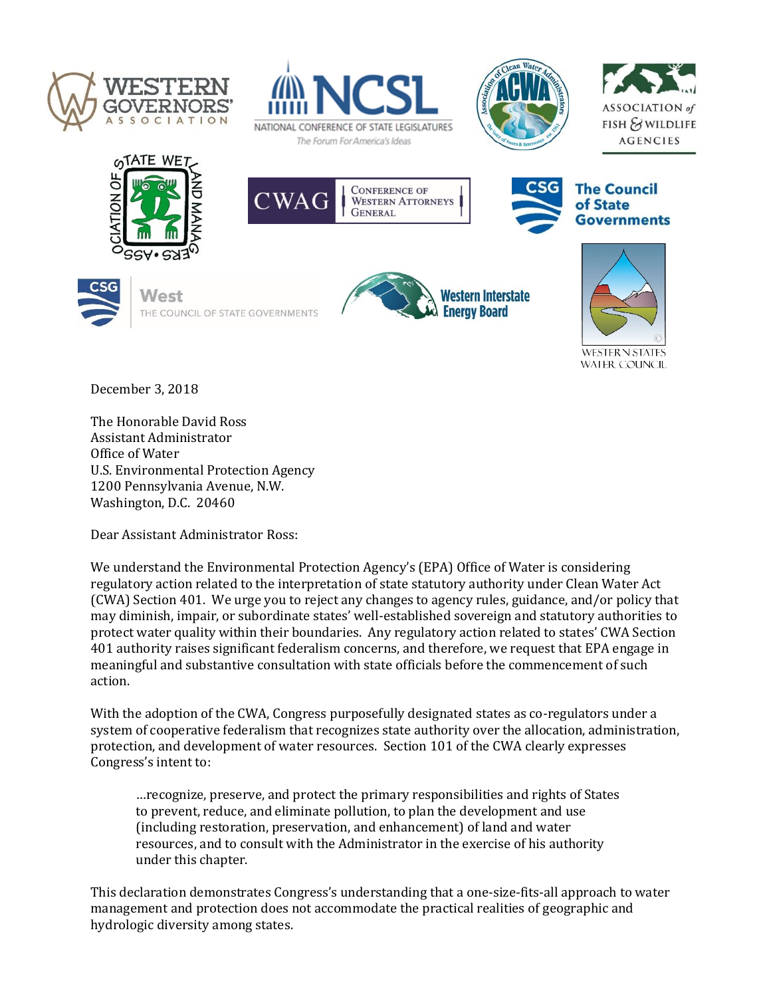





















December 3, 2018

The Honorable David Ross Assistant Administrator Office of Water U.S. Environmental Protection Agency 1200 Pennsylvania Avenue, N.W. Washington, D.C. 20460

Dear Assistant Administrator Ross:

We understand the Environmental Protection Agency's (EPA) Office of Water is considering regulatory action related to the interpretation of state statutory authority under Clean Water Act (CWA) Section 401. We urge you to reject any changes to agency rules, guidance, and/or policy that may diminish, impair, or subordinate states' well-established sovereign and statutory authorities to protect water quality within their boundaries. Any regulatory action related to states' CWA Section 401 authority raises significant federalism concerns, and therefore, we request that EPA engage in meaningful and substantive consultation with state officials before the commencement of such action.

With the adoption of the CWA, Congress purposefully designated states as co-regulators under a system of cooperative federalism that recognizes state authority over the allocation, administration, protection, and development of water resources. Section 101 of the CWA clearly expresses Congress's intent to:

…recognize, preserve, and protect the primary responsibilities and rights of States to prevent, reduce, and eliminate pollution, to plan the development and use (including restoration, preservation, and enhancement) of land and water resources, and to consult with the Administrator in the exercise of his authority under this chapter.

This declaration demonstrates Congress's understanding that a one-size-fits-all approach to water management and protection does not accommodate the practical realities of geographic and hydrologic diversity among states.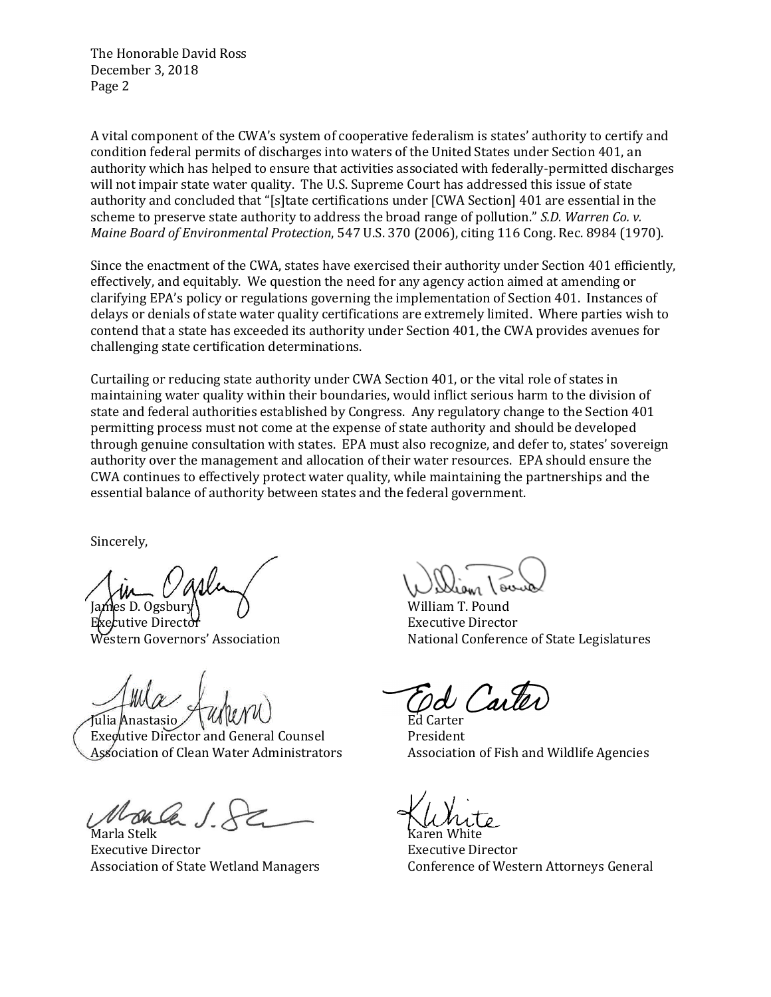The Honorable David Ross December 3, 2018 Page 2

A vital component of the CWA's system of cooperative federalism is states' authority to certify and condition federal permits of discharges into waters of the United States under Section 401, an authority which has helped to ensure that activities associated with federally-permitted discharges will not impair state water quality. The U.S. Supreme Court has addressed this issue of state authority and concluded that "[s]tate certifications under [CWA Section] 401 are essential in the scheme to preserve state authority to address the broad range of pollution." *S.D. Warren Co. v. Maine Board of Environmental Protection*, 547 U.S. 370 (2006), citing 116 Cong. Rec. 8984 (1970).

Since the enactment of the CWA, states have exercised their authority under Section 401 efficiently, effectively, and equitably. We question the need for any agency action aimed at amending or clarifying EPA's policy or regulations governing the implementation of Section 401. Instances of delays or denials of state water quality certifications are extremely limited. Where parties wish to contend that a state has exceeded its authority under Section 401, the CWA provides avenues for challenging state certification determinations.

Curtailing or reducing state authority under CWA Section 401, or the vital role of states in maintaining water quality within their boundaries, would inflict serious harm to the division of state and federal authorities established by Congress. Any regulatory change to the Section 401 permitting process must not come at the expense of state authority and should be developed through genuine consultation with states. EPA must also recognize, and defer to, states' sovereign authority over the management and allocation of their water resources. EPA should ensure the CWA continues to effectively protect water quality, while maintaining the partnerships and the essential balance of authority between states and the federal government.

Sincerely,

Executive Director Executive Director

Julia Anastasio .

Executive Director and General Counsel President Association of Clean Water Administrators **Association of Fish and Wildlife Agencies** 

Marla Stelk **Karen White** Executive Director Executive Director

William T. Pound Western Governors' Association National Conference of State Legislatures

d Carte

Association of State Wetland Managers Conference of Western Attorneys General